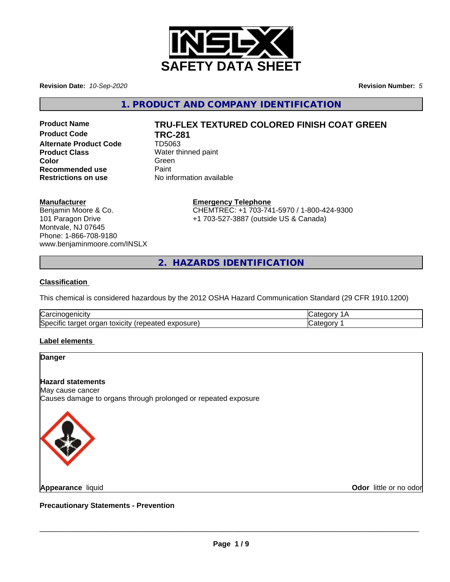

**Revision Date:** *10-Sep-2020* **Revision Number:** *5*

**1. PRODUCT AND COMPANY IDENTIFICATION**

**Product Code TRC-281 Alternate Product Code** TD5063 **Product Class** Water thinned paint **Color** Green **Green** Green **Green Recommended use** Paint<br> **Restrictions on use** No inf

# **Product Name TRU-FLEX TEXTURED COLORED FINISH COAT GREEN**

**No information available** 

## **Manufacturer**

Benjamin Moore & Co. 101 Paragon Drive Montvale, NJ 07645 Phone: 1-866-708-9180 www.benjaminmoore.com/INSLX

## **Emergency Telephone**

CHEMTREC: +1 703-741-5970 / 1-800-424-9300 +1 703-527-3887 (outside US & Canada)

**2. HAZARDS IDENTIFICATION**

## **Classification**

This chemical is considered hazardous by the 2012 OSHA Hazard Communication Standard (29 CFR 1910.1200)

| ⌒<br>luai<br>ш                                                                          |  |
|-----------------------------------------------------------------------------------------|--|
| Spe<br>.oosure<br><b>UXICITY</b> I'M<br>″∨د<br>$\cdots$<br>œ<br>aie,<br>таг<br>ラハト<br>. |  |

### **Label elements**



**Appearance** liquid

**Odor** little or no odor

**Precautionary Statements - Prevention**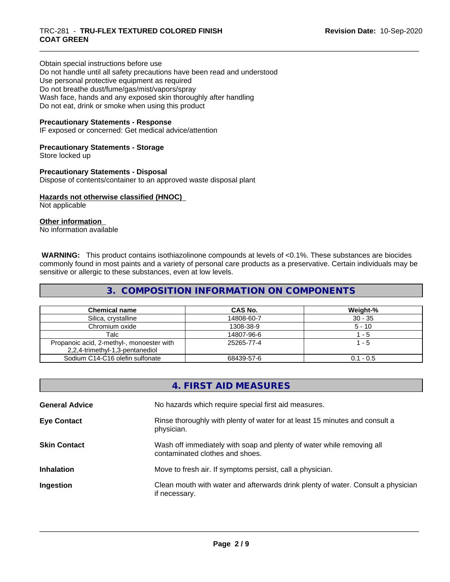Obtain special instructions before use Do not handle until all safety precautions have been read and understood Use personal protective equipment as required Do not breathe dust/fume/gas/mist/vapors/spray Wash face, hands and any exposed skin thoroughly after handling Do not eat, drink or smoke when using this product

## **Precautionary Statements - Response**

IF exposed or concerned: Get medical advice/attention

### **Precautionary Statements - Storage**

Store locked up

# **Precautionary Statements - Disposal**

Dispose of contents/container to an approved waste disposal plant

# **Hazards not otherwise classified (HNOC)**

Not applicable

## **Other information**

No information available

 **WARNING:** This product contains isothiazolinone compounds at levels of <0.1%. These substances are biocides commonly found in most paints and a variety of personal care products as a preservative. Certain individuals may be sensitive or allergic to these substances, even at low levels.

# **3. COMPOSITION INFORMATION ON COMPONENTS**

| <b>Chemical name</b>                                                         | CAS No.    | Weight-%    |
|------------------------------------------------------------------------------|------------|-------------|
| Silica, crystalline                                                          | 14808-60-7 | $30 - 35$   |
| Chromium oxide                                                               | 1308-38-9  | $5 - 10$    |
| Talc                                                                         | 14807-96-6 | - 5         |
| Propanoic acid, 2-methyl-, monoester with<br>2,2,4-trimethyl-1,3-pentanediol | 25265-77-4 | - 5         |
| Sodium C14-C16 olefin sulfonate                                              | 68439-57-6 | $0.1 - 0.5$ |

|                       | 4. FIRST AID MEASURES                                                                                    |
|-----------------------|----------------------------------------------------------------------------------------------------------|
| <b>General Advice</b> | No hazards which require special first aid measures.                                                     |
| <b>Eye Contact</b>    | Rinse thoroughly with plenty of water for at least 15 minutes and consult a<br>physician.                |
| <b>Skin Contact</b>   | Wash off immediately with soap and plenty of water while removing all<br>contaminated clothes and shoes. |
| <b>Inhalation</b>     | Move to fresh air. If symptoms persist, call a physician.                                                |
| Ingestion             | Clean mouth with water and afterwards drink plenty of water. Consult a physician<br>if necessary.        |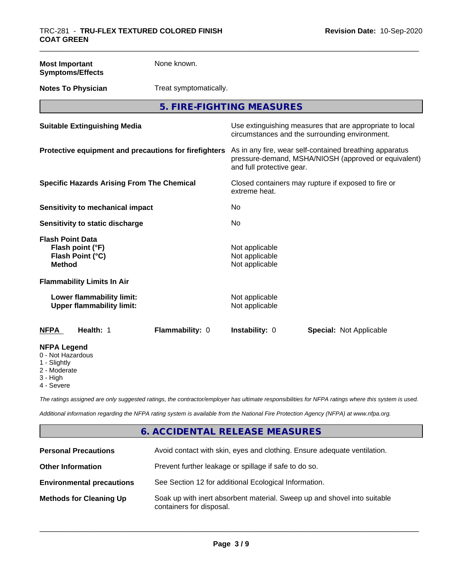#### **Most Important Symptoms/Effects**

None known.

**Notes To Physician** Treat symptomatically.

**5. FIRE-FIGHTING MEASURES**

| <b>Suitable Extinguishing Media</b>                                              | Use extinguishing measures that are appropriate to local<br>circumstances and the surrounding environment.                                   |
|----------------------------------------------------------------------------------|----------------------------------------------------------------------------------------------------------------------------------------------|
| Protective equipment and precautions for firefighters                            | As in any fire, wear self-contained breathing apparatus<br>pressure-demand, MSHA/NIOSH (approved or equivalent)<br>and full protective gear. |
| <b>Specific Hazards Arising From The Chemical</b>                                | Closed containers may rupture if exposed to fire or<br>extreme heat.                                                                         |
| Sensitivity to mechanical impact                                                 | No                                                                                                                                           |
| Sensitivity to static discharge                                                  | No.                                                                                                                                          |
| <b>Flash Point Data</b><br>Flash point (°F)<br>Flash Point (°C)<br><b>Method</b> | Not applicable<br>Not applicable<br>Not applicable                                                                                           |
| <b>Flammability Limits In Air</b>                                                |                                                                                                                                              |
| Lower flammability limit:<br><b>Upper flammability limit:</b>                    | Not applicable<br>Not applicable                                                                                                             |
| Health: 1<br>Flammability: 0<br>NFPA                                             | <b>Instability: 0</b><br><b>Special: Not Applicable</b>                                                                                      |
| <b>NFPA Legend</b><br>0 - Not Hazardous<br>1 - Slightly                          |                                                                                                                                              |

2 - Moderate

3 - High

4 - Severe

*The ratings assigned are only suggested ratings, the contractor/employer has ultimate responsibilities for NFPA ratings where this system is used.*

*Additional information regarding the NFPA rating system is available from the National Fire Protection Agency (NFPA) at www.nfpa.org.*

# **6. ACCIDENTAL RELEASE MEASURES**

| <b>Personal Precautions</b>      | Avoid contact with skin, eyes and clothing. Ensure adequate ventilation.                             |
|----------------------------------|------------------------------------------------------------------------------------------------------|
| <b>Other Information</b>         | Prevent further leakage or spillage if safe to do so.                                                |
| <b>Environmental precautions</b> | See Section 12 for additional Ecological Information.                                                |
| <b>Methods for Cleaning Up</b>   | Soak up with inert absorbent material. Sweep up and shovel into suitable<br>containers for disposal. |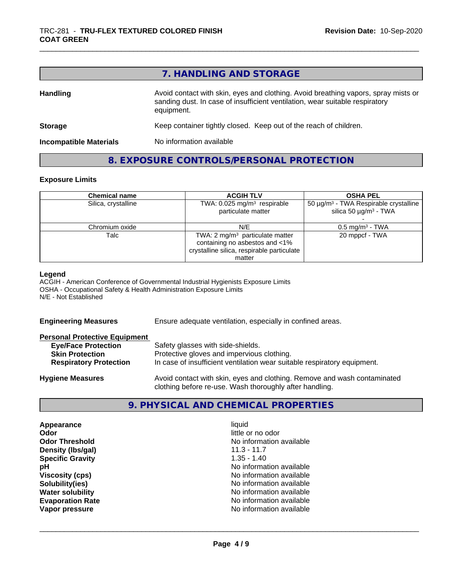| 7. HANDLING AND STORAGE |
|-------------------------|
|-------------------------|

| <b>Handling</b>               | Avoid contact with skin, eyes and clothing. Avoid breathing vapors, spray mists or<br>sanding dust. In case of insufficient ventilation, wear suitable respiratory<br>equipment. |  |
|-------------------------------|----------------------------------------------------------------------------------------------------------------------------------------------------------------------------------|--|
| <b>Storage</b>                | Keep container tightly closed. Keep out of the reach of children.                                                                                                                |  |
| <b>Incompatible Materials</b> | No information available                                                                                                                                                         |  |

# **8. EXPOSURE CONTROLS/PERSONAL PROTECTION**

### **Exposure Limits**

| <b>Chemical name</b> | <b>ACGIH TLV</b>                                                                                                                     | <b>OSHA PEL</b>                                                                      |
|----------------------|--------------------------------------------------------------------------------------------------------------------------------------|--------------------------------------------------------------------------------------|
| Silica, crystalline  | TWA: $0.025$ mg/m <sup>3</sup> respirable<br>particulate matter                                                                      | $50 \mu g/m3$ - TWA Respirable crystalline<br>silica 50 $\mu$ g/m <sup>3</sup> - TWA |
| Chromium oxide       | N/E                                                                                                                                  | $0.5$ mg/m <sup>3</sup> - TWA                                                        |
| Talc                 | TWA: $2 \text{ mg/m}^3$ particulate matter<br>containing no asbestos and <1%<br>crystalline silica, respirable particulate<br>matter | 20 mppcf - TWA                                                                       |

#### **Legend**

ACGIH - American Conference of Governmental Industrial Hygienists Exposure Limits OSHA - Occupational Safety & Health Administration Exposure Limits N/E - Not Established

**Engineering Measures** Ensure adequate ventilation, especially in confined areas.

#### **Personal Protective Equipment**

| <b>Eye/Face Protection</b>    | Safety glasses with side-shields.                                        |
|-------------------------------|--------------------------------------------------------------------------|
| <b>Skin Protection</b>        | Protective gloves and impervious clothing.                               |
| <b>Respiratory Protection</b> | In case of insufficient ventilation wear suitable respiratory equipment. |
| <b>Hygiene Measures</b>       | Avoid contact with skin, eyes and clothing. Remove and wash contaminated |

clothing before re-use. Wash thoroughly after handling.

# **9. PHYSICAL AND CHEMICAL PROPERTIES**

**Appearance** liquid **Odor Odor** little or no odor<br> **Odor Threshold Containery Containery Containery Containery Containery Property** No information **Density (Ibs/gal)** 11.3 - 11.7<br> **Specific Gravity** 1.35 - 1.40 **Specific Gravity** 

**No information available pH** No information available **Viscosity (cps)** No information available **Solubility(ies)** No information available **Water solubility Water solubility Water solubility Water solubility Water solubility Water solution Evaporation Rate No information available**<br> **Vapor pressure No information available**<br>
No information available **No information available**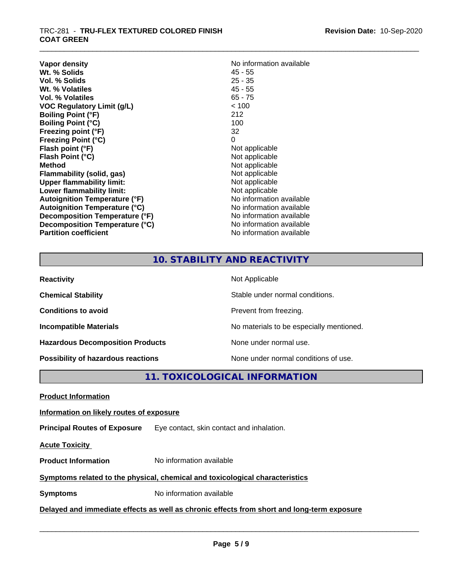## \_\_\_\_\_\_\_\_\_\_\_\_\_\_\_\_\_\_\_\_\_\_\_\_\_\_\_\_\_\_\_\_\_\_\_\_\_\_\_\_\_\_\_\_\_\_\_\_\_\_\_\_\_\_\_\_\_\_\_\_\_\_\_\_\_\_\_\_\_\_\_\_\_\_\_\_\_\_\_\_\_\_\_\_\_\_\_\_\_\_\_\_\_ TRC-281 - **TRU-FLEX TEXTURED COLORED FINISH COAT GREEN**

| Vapor density<br>Wt. % Solids        | No information available<br>45 - 55 |
|--------------------------------------|-------------------------------------|
| Vol. % Solids                        | $25 - 35$                           |
| Wt. % Volatiles                      | 45 - 55                             |
| Vol. % Volatiles                     | $65 - 75$                           |
| <b>VOC Regulatory Limit (g/L)</b>    | < 100                               |
| <b>Boiling Point (°F)</b>            | 212                                 |
| <b>Boiling Point (°C)</b>            | 100                                 |
| Freezing point (°F)                  | 32                                  |
| <b>Freezing Point (°C)</b>           | 0                                   |
| Flash point (°F)                     | Not applicable                      |
| Flash Point (°C)                     | Not applicable                      |
| <b>Method</b>                        | Not applicable                      |
| <b>Flammability (solid, gas)</b>     | Not applicable                      |
| <b>Upper flammability limit:</b>     | Not applicable                      |
| Lower flammability limit:            | Not applicable                      |
| <b>Autoignition Temperature (°F)</b> | No information available            |
| <b>Autoignition Temperature (°C)</b> | No information available            |
| Decomposition Temperature (°F)       | No information available            |
| Decomposition Temperature (°C)       | No information available            |
| <b>Partition coefficient</b>         | No information available            |

# **10. STABILITY AND REACTIVITY**

| <b>Reactivity</b>                         | Not Applicable                           |
|-------------------------------------------|------------------------------------------|
| <b>Chemical Stability</b>                 | Stable under normal conditions.          |
| <b>Conditions to avoid</b>                | Prevent from freezing.                   |
| <b>Incompatible Materials</b>             | No materials to be especially mentioned. |
| <b>Hazardous Decomposition Products</b>   | None under normal use.                   |
| <b>Possibility of hazardous reactions</b> | None under normal conditions of use.     |

**11. TOXICOLOGICAL INFORMATION**

**Product Information**

# **Information on likely routes of exposure**

**Principal Routes of Exposure** Eye contact, skin contact and inhalation.

**Acute Toxicity** 

**Product Information** No information available

# **Symptoms related to the physical,chemical and toxicological characteristics**

**Symptoms** No information available

**Delayed and immediate effects as well as chronic effects from short and long-term exposure**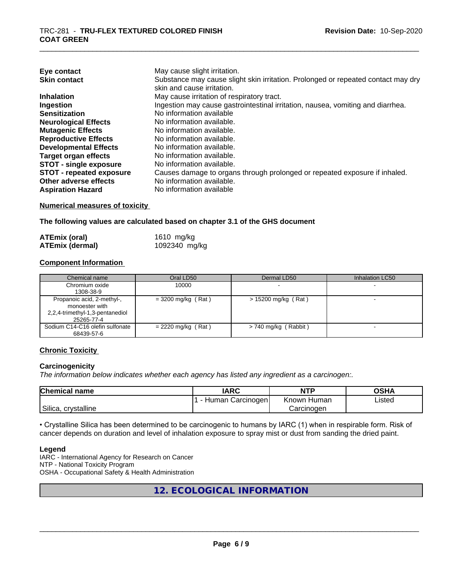| Eye contact                     | May cause slight irritation.                                                      |
|---------------------------------|-----------------------------------------------------------------------------------|
| <b>Skin contact</b>             | Substance may cause slight skin irritation. Prolonged or repeated contact may dry |
|                                 | skin and cause irritation.                                                        |
| <b>Inhalation</b>               | May cause irritation of respiratory tract.                                        |
| Ingestion                       | Ingestion may cause gastrointestinal irritation, nausea, vomiting and diarrhea.   |
| <b>Sensitization</b>            | No information available                                                          |
| <b>Neurological Effects</b>     | No information available.                                                         |
| <b>Mutagenic Effects</b>        | No information available.                                                         |
| <b>Reproductive Effects</b>     | No information available.                                                         |
| <b>Developmental Effects</b>    | No information available.                                                         |
| Target organ effects            | No information available.                                                         |
| <b>STOT - single exposure</b>   | No information available.                                                         |
| <b>STOT - repeated exposure</b> | Causes damage to organs through prolonged or repeated exposure if inhaled.        |
| Other adverse effects           | No information available.                                                         |
| <b>Aspiration Hazard</b>        | No information available                                                          |

#### **Numerical measures of toxicity**

**The following values are calculated based on chapter 3.1 of the GHS document**

| <b>ATEmix (oral)</b>   | 1610 mg/kg    |
|------------------------|---------------|
| <b>ATEmix (dermal)</b> | 1092340 mg/kg |

### **Component Information**

| Chemical name                                                                                 | Oral LD50            | Dermal LD50            | Inhalation LC50 |
|-----------------------------------------------------------------------------------------------|----------------------|------------------------|-----------------|
| Chromium oxide<br>1308-38-9                                                                   | 10000                |                        |                 |
| Propanoic acid, 2-methyl-,<br>monoester with<br>2,2,4-trimethyl-1,3-pentanediol<br>25265-77-4 | $=$ 3200 mg/kg (Rat) | $> 15200$ mg/kg (Rat)  |                 |
| Sodium C14-C16 olefin sulfonate<br>68439-57-6                                                 | $= 2220$ mg/kg (Rat) | $> 740$ mg/kg (Rabbit) |                 |

### **Chronic Toxicity**

### **Carcinogenicity**

*The information below indicateswhether each agency has listed any ingredient as a carcinogen:.*

| <b>Chemical</b><br>name | <b>IARC</b>         | <b>NTP</b>     | <b>OSHA</b> |
|-------------------------|---------------------|----------------|-------------|
|                         | Carcinogen<br>Human | Known<br>Humar | Listed      |
| crystalline<br>Silica,  |                     | Carcinogen     |             |

• Crystalline Silica has been determined to be carcinogenic to humans by IARC (1) when in respirable form. Risk of cancer depends on duration and level of inhalation exposure to spray mist or dust from sanding the dried paint.

#### **Legend**

IARC - International Agency for Research on Cancer NTP - National Toxicity Program OSHA - Occupational Safety & Health Administration

# **12. ECOLOGICAL INFORMATION**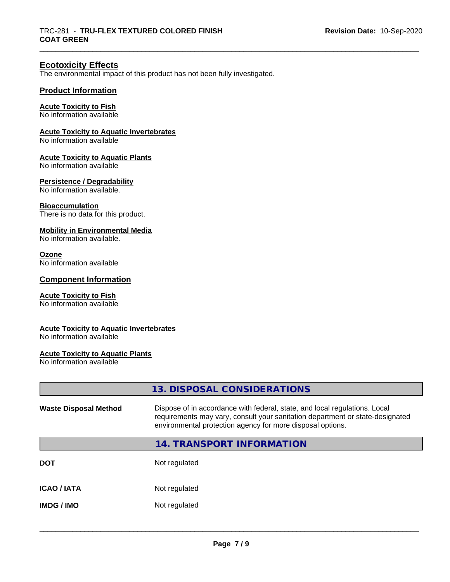# **Ecotoxicity Effects**

The environmental impact of this product has not been fully investigated.

## **Product Information**

#### **Acute Toxicity to Fish**

No information available

#### **Acute Toxicity to Aquatic Invertebrates**

No information available

## **Acute Toxicity to Aquatic Plants**

No information available

#### **Persistence / Degradability**

No information available.

#### **Bioaccumulation**

There is no data for this product.

#### **Mobility in Environmental Media**

No information available.

#### **Ozone**

No information available

## **Component Information**

## **Acute Toxicity to Fish**

No information available

## **Acute Toxicity to Aquatic Invertebrates**

No information available

#### **Acute Toxicity to Aquatic Plants**

No information available

|                              | 13. DISPOSAL CONSIDERATIONS                                                                                                                                                                                               |
|------------------------------|---------------------------------------------------------------------------------------------------------------------------------------------------------------------------------------------------------------------------|
| <b>Waste Disposal Method</b> | Dispose of in accordance with federal, state, and local regulations. Local<br>requirements may vary, consult your sanitation department or state-designated<br>environmental protection agency for more disposal options. |
|                              | 14. TRANSPORT INFORMATION                                                                                                                                                                                                 |
| DOT                          | Not regulated                                                                                                                                                                                                             |
| ICAO / IATA                  | Not regulated                                                                                                                                                                                                             |
| IMDG / IMO                   | Not regulated                                                                                                                                                                                                             |
|                              |                                                                                                                                                                                                                           |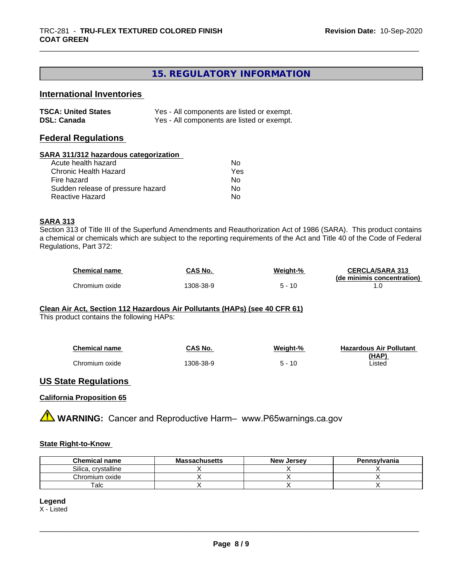# **15. REGULATORY INFORMATION**

# **International Inventories**

| <b>TSCA: United States</b> | Yes - All components are listed or exempt. |
|----------------------------|--------------------------------------------|
| <b>DSL: Canada</b>         | Yes - All components are listed or exempt. |

## **Federal Regulations**

#### **SARA 311/312 hazardous categorization**

| Acute health hazard               | Nο  |
|-----------------------------------|-----|
| Chronic Health Hazard             | Yes |
| Fire hazard                       | N٥  |
| Sudden release of pressure hazard | Nο  |
| Reactive Hazard                   | N٥  |

## **SARA 313**

Section 313 of Title III of the Superfund Amendments and Reauthorization Act of 1986 (SARA). This product contains a chemical or chemicals which are subject to the reporting requirements of the Act and Title 40 of the Code of Federal Regulations, Part 372:

| <b>Chemical name</b> | CAS No.  | Weight-% | <b>CERCLA/SARA 313</b>     |
|----------------------|----------|----------|----------------------------|
|                      |          |          | (de minimis concentration) |
| Chromium oxide       | 308-38-9 | 10       |                            |

# **Clean Air Act,Section 112 Hazardous Air Pollutants (HAPs) (see 40 CFR 61)**

This product contains the following HAPs:

| <b>Chemical name</b> | CAS No.  | Weight-% | <b>Hazardous Air Pollutant</b> |
|----------------------|----------|----------|--------------------------------|
|                      |          |          | (HAP)                          |
| Chromium oxide       | 308-38-9 | $5 - 10$ | Listed                         |

# **US State Regulations**

### **California Proposition 65**

**A WARNING:** Cancer and Reproductive Harm– www.P65warnings.ca.gov

### **State Right-to-Know**

| <b>Chemical name</b>  | <b>Massachusetts</b> | . Jersev<br><b>New</b> | Pennsylvania |
|-----------------------|----------------------|------------------------|--------------|
| crystalline<br>Silica |                      |                        |              |
| Chromium oxide        |                      |                        |              |
| $\tau$ alc            |                      |                        |              |

## **Legend**

X - Listed